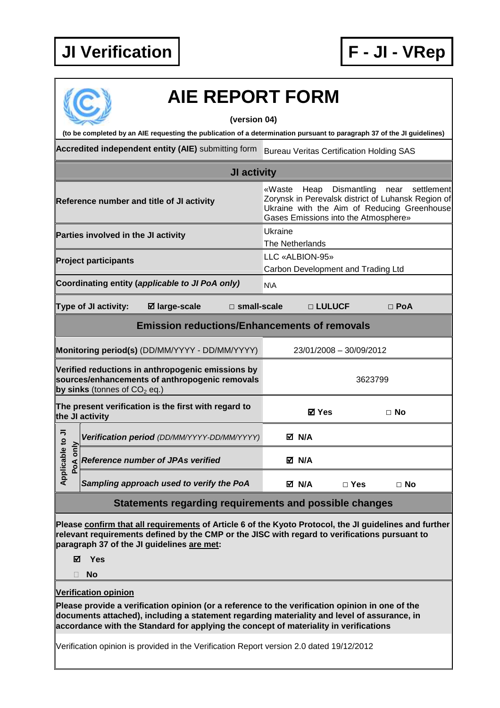

## **AIE REPORT FORM**

**(version 04)** 

**(to be completed by an AIE requesting the publication of a determination pursuant to paragraph 37 of the JI guidelines)** 

Accredited independent entity (AIE) submitting form Bureau Veritas Certification Holding SAS

|                                                                                                                                       |                      |                                                      | JI activity        |                                                       |                                                                                                                                                                                                  |       |            |  |  |  |
|---------------------------------------------------------------------------------------------------------------------------------------|----------------------|------------------------------------------------------|--------------------|-------------------------------------------------------|--------------------------------------------------------------------------------------------------------------------------------------------------------------------------------------------------|-------|------------|--|--|--|
| Reference number and title of JI activity                                                                                             |                      |                                                      |                    |                                                       | Heap<br>Dismantling<br>settlement<br>«Waste<br>near<br>Zorynsk in Perevalsk district of Luhansk Region of<br>Ukraine with the Aim of Reducing Greenhouse<br>Gases Emissions into the Atmosphere» |       |            |  |  |  |
| Parties involved in the JI activity                                                                                                   |                      |                                                      |                    | Ukraine<br>The Netherlands                            |                                                                                                                                                                                                  |       |            |  |  |  |
| <b>Project participants</b>                                                                                                           |                      |                                                      |                    | LLC «ALBION-95»<br>Carbon Development and Trading Ltd |                                                                                                                                                                                                  |       |            |  |  |  |
|                                                                                                                                       |                      | Coordinating entity (applicable to JI PoA only)      |                    | <b>NVA</b>                                            |                                                                                                                                                                                                  |       |            |  |  |  |
|                                                                                                                                       | Type of JI activity: | ⊠ large-scale                                        | $\Box$ small-scale |                                                       | □ LULUCF                                                                                                                                                                                         |       | $\Box$ PoA |  |  |  |
|                                                                                                                                       |                      | <b>Emission reductions/Enhancements of removals</b>  |                    |                                                       |                                                                                                                                                                                                  |       |            |  |  |  |
| Monitoring period(s) (DD/MM/YYYY - DD/MM/YYYY)                                                                                        |                      |                                                      |                    |                                                       | 23/01/2008 - 30/09/2012                                                                                                                                                                          |       |            |  |  |  |
| Verified reductions in anthropogenic emissions by<br>sources/enhancements of anthropogenic removals<br>by sinks (tonnes of $CO2$ eq.) |                      |                                                      |                    | 3623799                                               |                                                                                                                                                                                                  |       |            |  |  |  |
|                                                                                                                                       | the JI activity      | The present verification is the first with regard to |                    |                                                       | <b>ØYes</b>                                                                                                                                                                                      |       | $\Box$ No  |  |  |  |
| Applicable to JI<br>only<br>PoA                                                                                                       |                      | Verification period (DD/MM/YYYY-DD/MM/YYYY)          |                    |                                                       | M N/A                                                                                                                                                                                            |       |            |  |  |  |
|                                                                                                                                       |                      | <b>Reference number of JPAs verified</b>             |                    |                                                       | M N/A                                                                                                                                                                                            |       |            |  |  |  |
|                                                                                                                                       |                      | Sampling approach used to verify the PoA             |                    |                                                       | M N/A                                                                                                                                                                                            | ⊟ Yec | ⊟ N∩       |  |  |  |

## **Statements regarding requirements and possible changes**

**Sampling approach used to verify the PoA N/A □ Yes □ No** 

**Please confirm that all requirements of Article 6 of the Kyoto Protocol, the JI guidelines and further relevant requirements defined by the CMP or the JISC with regard to verifications pursuant to paragraph 37 of the JI guidelines are met:** 

**Yes** 

**No** 

**Verification opinion** 

**Please provide a verification opinion (or a reference to the verification opinion in one of the documents attached), including a statement regarding materiality and level of assurance, in accordance with the Standard for applying the concept of materiality in verifications** 

Verification opinion is provided in the Verification Report version 2.0 dated 19/12/2012